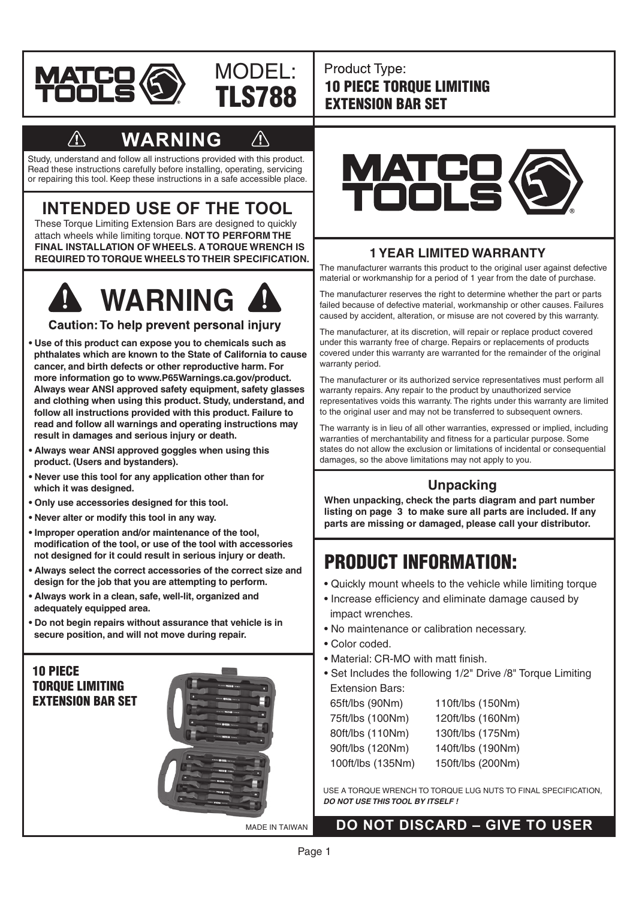

#### Product Type: 10 PIECE TORQUE LIMITING EXTENSION BAR SET

## **WARNING**

TLS788

MODEL:

Study, understand and follow all instructions provided with this product. Read these instructions carefully before installing, operating, servicing or repairing this tool. Keep these instructions in a safe accessible place.

## **INTENDED USE OF THE TOOL**

These Torque Limiting Extension Bars are designed to quickly attach wheels while limiting torque. **NOT TO PERFORM THE FINAL INSTALLATION OF WHEELS. A TORQUE WRENCH IS REQUIRED TO TORQUE WHEELS TO THEIR SPECIFICATION.**



Caution: To help prevent personal injury

- **Use of this product can expose you to chemicals such as phthalates which are known to the State of California to cause cancer, and birth defects or other reproductive harm. For more information go to www.P65Warnings.ca.gov/product. Always wear ANSI approved safety equipment, safety glasses and clothing when using this product. Study, understand, and follow all instructions provided with this product. Failure to read and follow all warnings and operating instructions may result in damages and serious injury or death.**
- **Always wear ANSI approved goggles when using this product. (Users and bystanders).**
- **Never use this tool for any application other than for which it was designed.**
- **Only use accessories designed for this tool.**
- **Never alter or modify this tool in any way.**
- **Improper operation and/or maintenance of the tool, modification of the tool, or use of the tool with accessories not designed for it could result in serious injury or death.**
- **Always select the correct accessories of the correct size and design for the job that you are attempting to perform.**
- **Always work in a clean, safe, well-lit, organized and adequately equipped area.**
- **Do not begin repairs without assurance that vehicle is in secure position, and will not move during repair.**

#### 10 PIECE TORQUE LIMITING EXTENSION BAR SET



MADE IN TAIWAN



#### **1 YEAR LIMITED WARRANTY**

The manufacturer warrants this product to the original user against defective material or workmanship for a period of 1 year from the date of purchase.

The manufacturer reserves the right to determine whether the part or parts failed because of defective material, workmanship or other causes. Failures caused by accident, alteration, or misuse are not covered by this warranty.

The manufacturer, at its discretion, will repair or replace product covered under this warranty free of charge. Repairs or replacements of products covered under this warranty are warranted for the remainder of the original warranty period.

The manufacturer or its authorized service representatives must perform all warranty repairs. Any repair to the product by unauthorized service representatives voids this warranty. The rights under this warranty are limited to the original user and may not be transferred to subsequent owners.

The warranty is in lieu of all other warranties, expressed or implied, including warranties of merchantability and fitness for a particular purpose. Some states do not allow the exclusion or limitations of incidental or consequential damages, so the above limitations may not apply to you.

#### **Unpacking**

**When unpacking, check the parts diagram and part number listing on page 3 to make sure all parts are included. If any parts are missing or damaged, please call your distributor.** 

## PRODUCT INFORMATION:

- Quickly mount wheels to the vehicle while limiting torque
- Increase efficiency and eliminate damage caused by impact wrenches.
- No maintenance or calibration necessary.
- Color coded.
- Material: CR-MO with matt finish.
- Set Includes the following 1/2" Drive /8" Torque Limiting Extension Bars:

| 65ft/lbs (90Nm)   | 110ft/lbs (150Nm) |
|-------------------|-------------------|
| 75ft/lbs (100Nm)  | 120ft/lbs (160Nm) |
| 80ft/lbs (110Nm)  | 130ft/lbs (175Nm) |
| 90ft/lbs (120Nm)  | 140ft/lbs (190Nm) |
| 100ft/lbs (135Nm) | 150ft/lbs (200Nm) |

USE A TORQUE WRENCH TO TORQUE LUG NUTS TO FINAL SPECIFICATION, *DO NOT USE THIS TOOL BY ITSELF !*

#### **DO NOT DISCARD – GIVE TO USER**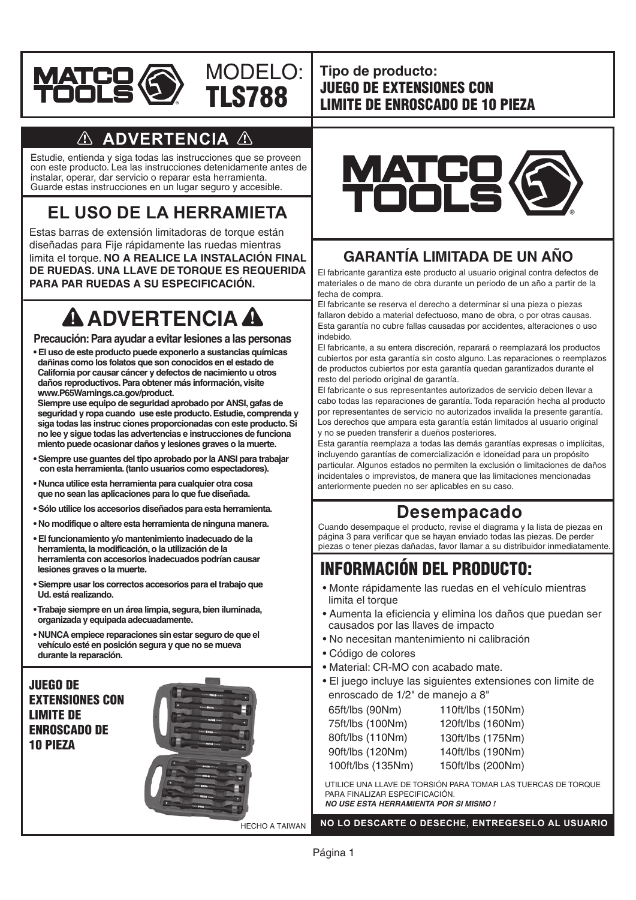



**Tipo de producto:** JUEGO DE EXTENSIONES CON LIMITE DE ENROSCADO DE 10 PIEZA

### **ADVERTENCIA**

Estudie, entienda y siga todas las instrucciones que se proveen con este producto. Lea las instrucciones detenidamente antes de instalar, operar, dar servicio o reparar esta herramienta. Guarde estas instrucciones en un lugar seguro y accesible.

## **EL USO DE LA HERRAMIETA**

Estas barras de extensión limitadoras de torque están diseñadas para Fije rápidamente las ruedas mientras limita el torque. **NO A REALICE LA INSTALACIÓN FINAL DE RUEDAS. UNA LLAVE DE TORQUE ES REQUERIDA PARA PAR RUEDAS A SU ESPECIFICACIÓN.**

# **A ADVERTENCIA A**

#### **Precaución: Para ayudar a evitar lesiones a las personas**

**• El uso de este producto puede exponerlo a sustancias químicas dañinas como los folatos que son conocidos en el estado de California por causar cáncer y defectos de nacimiento u otros daños reproductivos. Para obtener más información, visite www.P65Warnings.ca.gov/product.** 

 **Siempre use equipo de seguridad aprobado por ANSI, gafas de seguridad y ropa cuando use este producto. Estudie, comprenda y siga todas las instruc ciones proporcionadas con este producto. Si no lee y sigue todas las advertencias e instrucciones de funciona miento puede ocasionar daños y lesiones graves o la muerte.**

- **Siempre use guantes del tipo aprobado por la ANSI para trabajar con esta herramienta. (tanto usuarios como espectadores).**
- **• Nunca utilice esta herramienta para cualquier otra cosa que no sean las aplicaciones para lo que fue diseñada.**
- **Sólo utilice los accesorios diseñados para esta herramienta.**
- **No modifique o altere esta herramienta de ninguna manera.**
- **El funcionamiento y/o mantenimiento inadecuado de la herramienta, la modificación, o la utilización de la herramienta con accesorios inadecuados podrían causar lesiones graves o la muerte.**
- **• Siempre usar los correctos accesorios para el trabajo que Ud. está realizando.**
- **•Trabaje siempre en un área limpia, segura, bien iluminada, organizada y equipada adecuadamente.**
- **NUNCA empiece reparaciones sin estar seguro de que el vehículo esté en posición segura y que no se mueva durante la reparación.**





### **GARANTÍA LIMITADA DE UN AÑO**

El fabricante garantiza este producto al usuario original contra defectos de materiales o de mano de obra durante un periodo de un año a partir de la fecha de compra.

El fabricante se reserva el derecho a determinar si una pieza o piezas fallaron debido a material defectuoso, mano de obra, o por otras causas. Esta garantía no cubre fallas causadas por accidentes, alteraciones o uso indebido.

El fabricante, a su entera discreción, reparará o reemplazará los productos cubiertos por esta garantía sin costo alguno. Las reparaciones o reemplazos de productos cubiertos por esta garantía quedan garantizados durante el resto del periodo original de garantía.

El fabricante o sus representantes autorizados de servicio deben llevar a cabo todas las reparaciones de garantía. Toda reparación hecha al producto por representantes de servicio no autorizados invalida la presente garantía. Los derechos que ampara esta garantía están limitados al usuario original y no se pueden transferir a dueños posteriores.

Esta garantía reemplaza a todas las demás garantías expresas o implícitas, incluyendo garantías de comercialización e idoneidad para un propósito particular. Algunos estados no permiten la exclusión o limitaciones de daños incidentales o imprevistos, de manera que las limitaciones mencionadas anteriormente pueden no ser aplicables en su caso.

### **Desempacado**

Cuando desempaque el producto, revise el diagrama y la lista de piezas en página 3 para verificar que se hayan enviado todas las piezas. De perder piezas o tener piezas dañadas, favor llamar a su distribuidor inmediatamente.

## INFORMACIÓN DEL PRODUCTO:

- Monte rápidamente las ruedas en el vehículo mientras limita el torque
- Aumenta la eficiencia y elimina los daños que puedan ser causados por las llaves de impacto
- No necesitan mantenimiento ni calibración
- Código de colores
- Material: CR-MO con acabado mate.
- El juego incluye las siguientes extensiones con limite de enroscado de 1/2" de manejo a 8"

| 65ft/lbs (90Nm)   | 110ft/lbs (150Nm) |
|-------------------|-------------------|
| 75ft/lbs (100Nm)  | 120ft/lbs (160Nm) |
| 80ft/lbs (110Nm)  | 130ft/lbs (175Nm) |
| 90ft/lbs (120Nm)  | 140ft/lbs (190Nm) |
| 100ft/lbs (135Nm) | 150ft/lbs (200Nm) |
|                   |                   |

UTILICE UNA LLAVE DE TORSIÓN PARA TOMAR LAS TUERCAS DE TORQUE PARA FINALIZAR ESPECIFICACIÓN. *NO USE ESTA HERRAMIENTA POR SI MISMO !*

**NO LO DESCARTE O DESECHE, ENTREGESELO AL USUARIO**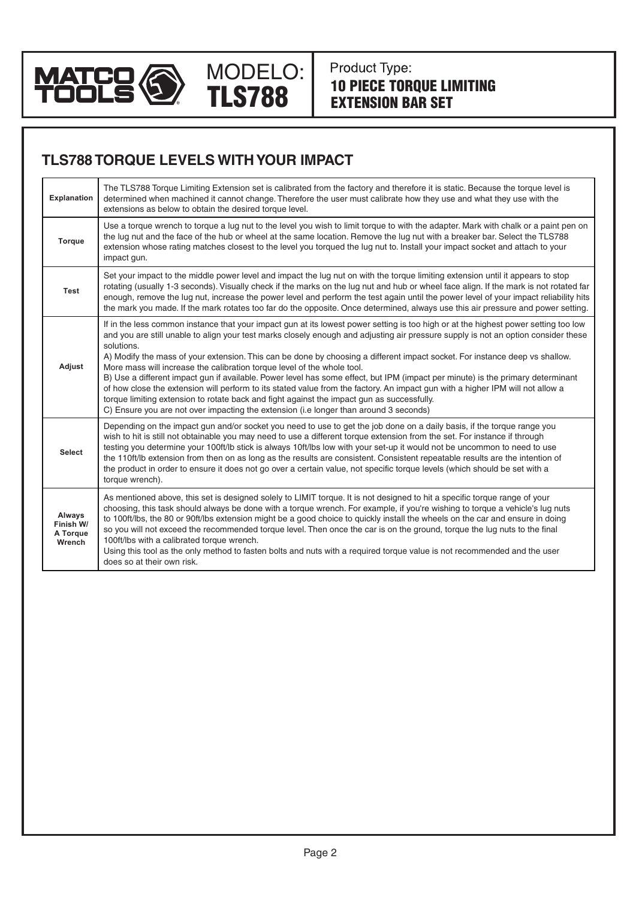

Product Type: 10 PIECE TORQUE LIMITING EXTENSION BAR SET

### **TLS788 TORQUE LEVELS WITH YOUR IMPACT**

TLS788

MODELO:

| <b>Explanation</b>                        | The TLS788 Torque Limiting Extension set is calibrated from the factory and therefore it is static. Because the torque level is<br>determined when machined it cannot change. Therefore the user must calibrate how they use and what they use with the<br>extensions as below to obtain the desired torque level.                                                                                                                                                                                                                                                                                                                                                                                                                                                                                                                                                                                                                                            |
|-------------------------------------------|---------------------------------------------------------------------------------------------------------------------------------------------------------------------------------------------------------------------------------------------------------------------------------------------------------------------------------------------------------------------------------------------------------------------------------------------------------------------------------------------------------------------------------------------------------------------------------------------------------------------------------------------------------------------------------------------------------------------------------------------------------------------------------------------------------------------------------------------------------------------------------------------------------------------------------------------------------------|
| Torque                                    | Use a torque wrench to torque a lug nut to the level you wish to limit torque to with the adapter. Mark with chalk or a paint pen on<br>the lug nut and the face of the hub or wheel at the same location. Remove the lug nut with a breaker bar. Select the TLS788<br>extension whose rating matches closest to the level you torqued the lug nut to. Install your impact socket and attach to your<br>impact gun.                                                                                                                                                                                                                                                                                                                                                                                                                                                                                                                                           |
| <b>Test</b>                               | Set your impact to the middle power level and impact the lug nut on with the torque limiting extension until it appears to stop<br>rotating (usually 1-3 seconds). Visually check if the marks on the lug nut and hub or wheel face align. If the mark is not rotated far<br>enough, remove the lug nut, increase the power level and perform the test again until the power level of your impact reliability hits<br>the mark you made. If the mark rotates too far do the opposite. Once determined, always use this air pressure and power setting.                                                                                                                                                                                                                                                                                                                                                                                                        |
| Adjust                                    | If in the less common instance that your impact gun at its lowest power setting is too high or at the highest power setting too low<br>and you are still unable to align your test marks closely enough and adjusting air pressure supply is not an option consider these<br>solutions.<br>A) Modify the mass of your extension. This can be done by choosing a different impact socket. For instance deep vs shallow.<br>More mass will increase the calibration torque level of the whole tool.<br>B) Use a different impact gun if available. Power level has some effect, but IPM (impact per minute) is the primary determinant<br>of how close the extension will perform to its stated value from the factory. An impact gun with a higher IPM will not allow a<br>torque limiting extension to rotate back and fight against the impact gun as successfully.<br>C) Ensure you are not over impacting the extension (i.e longer than around 3 seconds) |
| <b>Select</b>                             | Depending on the impact gun and/or socket you need to use to get the job done on a daily basis, if the torque range you<br>wish to hit is still not obtainable you may need to use a different torque extension from the set. For instance if through<br>testing you determine your 100ft/lb stick is always 10ft/lbs low with your set-up it would not be uncommon to need to use<br>the 110ft/lb extension from then on as long as the results are consistent. Consistent repeatable results are the intention of<br>the product in order to ensure it does not go over a certain value, not specific torque levels (which should be set with a<br>torque wrench).                                                                                                                                                                                                                                                                                          |
| Always<br>Finish W/<br>A Torque<br>Wrench | As mentioned above, this set is designed solely to LIMIT torque. It is not designed to hit a specific torque range of your<br>choosing, this task should always be done with a torque wrench. For example, if you're wishing to torque a vehicle's lug nuts<br>to 100ft/lbs, the 80 or 90ft/lbs extension might be a good choice to quickly install the wheels on the car and ensure in doing<br>so you will not exceed the recommended torque level. Then once the car is on the ground, torque the lug nuts to the final<br>100ft/lbs with a calibrated torque wrench.<br>Using this tool as the only method to fasten bolts and nuts with a required torque value is not recommended and the user<br>does so at their own risk.                                                                                                                                                                                                                            |